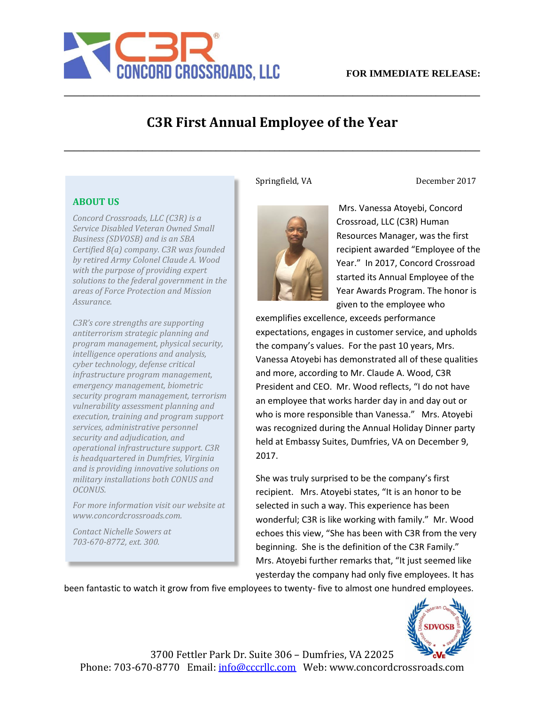

### **C3R First Annual Employee of the Year**

**\_\_\_\_\_\_\_\_\_\_\_\_\_\_\_\_\_\_\_\_\_\_\_\_\_\_\_\_\_\_\_\_\_\_\_\_\_\_\_\_\_\_\_\_\_\_\_\_\_\_\_\_\_\_\_\_\_\_\_\_\_\_\_\_\_\_\_\_\_\_\_\_\_\_\_\_\_\_\_\_\_\_\_\_\_**

**\_\_\_\_\_\_\_\_\_\_\_\_\_\_\_\_\_\_\_\_\_\_\_\_\_\_\_\_\_\_\_\_\_\_\_\_\_\_\_\_\_\_\_\_\_\_\_\_\_\_\_\_\_\_\_\_\_\_\_\_\_\_\_\_\_\_\_\_\_\_\_\_\_\_\_\_\_\_\_\_\_\_\_\_\_**

### **ABOUT US**

*Concord Crossroads, LLC (C3R) is a Service Disabled Veteran Owned Small Business (SDVOSB) and is an SBA Certified 8(a) company. C3R was founded by retired Army Colonel Claude A. Wood with the purpose of providing expert solutions to the federal government in the areas of Force Protection and Mission Assurance.* 

*C3R's core strengths are supporting antiterrorism strategic planning and program management, physical security, intelligence operations and analysis, cyber technology, defense critical infrastructure program management, emergency management, biometric security program management, terrorism vulnerability assessment planning and execution, training and program support services, administrative personnel security and adjudication, and operational infrastructure support. C3R is headquartered in Dumfries, Virginia and is providing innovative solutions on military installations both CONUS and OCONUS.* 

*For more information visit our website at www.concordcrossroads.com.* 

*Contact Nichelle Sowers at 703-670-8772, ext. 300.*

#### Springfield, VA December 2017



Mrs. Vanessa Atoyebi, Concord Crossroad, LLC (C3R) Human Resources Manager, was the first recipient awarded "Employee of the Year." In 2017, Concord Crossroad started its Annual Employee of the Year Awards Program. The honor is given to the employee who

exemplifies excellence, exceeds performance expectations, engages in customer service, and upholds the company's values. For the past 10 years, Mrs. Vanessa Atoyebi has demonstrated all of these qualities and more, according to Mr. Claude A. Wood, C3R President and CEO. Mr. Wood reflects, "I do not have an employee that works harder day in and day out or who is more responsible than Vanessa." Mrs. Atoyebi was recognized during the Annual Holiday Dinner party held at Embassy Suites, Dumfries, VA on December 9, 2017.

She was truly surprised to be the company's first recipient. Mrs. Atoyebi states, "It is an honor to be selected in such a way. This experience has been wonderful; C3R is like working with family." Mr. Wood echoes this view, "She has been with C3R from the very beginning. She is the definition of the C3R Family." Mrs. Atoyebi further remarks that, "It just seemed like yesterday the company had only five employees. It has

been fantastic to watch it grow from five employees to twenty- five to almost one hundred employees.



3700 Fettler Park Dr. Suite 306 – Dumfries, VA 22025 Phone: 703-670-8770 Email: info@cccrllc.com Web: www.concordcrossroads.com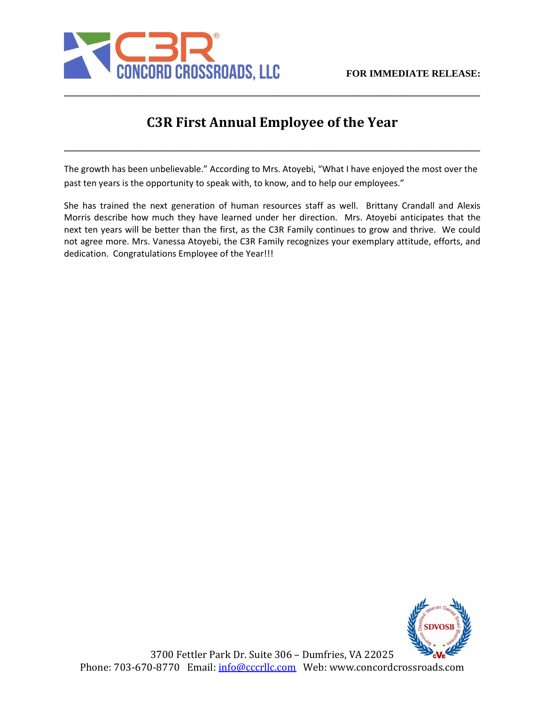

## **C3R First Annual Employee of the Year**

**\_\_\_\_\_\_\_\_\_\_\_\_\_\_\_\_\_\_\_\_\_\_\_\_\_\_\_\_\_\_\_\_\_\_\_\_\_\_\_\_\_\_\_\_\_\_\_\_\_\_\_\_\_\_\_\_\_\_\_\_\_\_\_\_\_\_\_\_\_\_\_\_\_\_\_\_\_\_\_\_\_\_\_\_\_**

The growth has been unbelievable." According to Mrs. Atoyebi, "What I have enjoyed the most over the past ten years is the opportunity to speak with, to know, and to help our employees."

**\_\_\_\_\_\_\_\_\_\_\_\_\_\_\_\_\_\_\_\_\_\_\_\_\_\_\_\_\_\_\_\_\_\_\_\_\_\_\_\_\_\_\_\_\_\_\_\_\_\_\_\_\_\_\_\_\_\_\_\_\_\_\_\_\_\_\_\_\_\_\_\_\_\_\_\_\_\_\_\_\_\_\_\_\_**

She has trained the next generation of human resources staff as well. Brittany Crandall and Alexis Morris describe how much they have learned under her direction. Mrs. Atoyebi anticipates that the next ten years will be better than the first, as the C3R Family continues to grow and thrive. We could not agree more. Mrs. Vanessa Atoyebi, the C3R Family recognizes your exemplary attitude, efforts, and dedication. Congratulations Employee of the Year!!!



3700 Fettler Park Dr. Suite 306 – Dumfries, VA 22025 Phone: 703-670-8770 Email: info@cccrllc.com Web: www.concordcrossroads.com